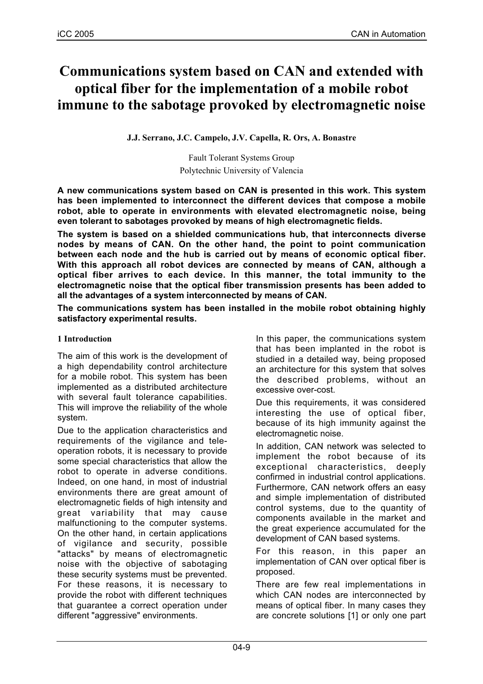# **Communications system based on CAN and extended with optical fiber for the implementation of a mobile robot immune to the sabotage provoked by electromagnetic noise**

## **J.J. Serrano, J.C. Campelo, J.V. Capella, R. Ors, A. Bonastre**

Fault Tolerant Systems Group Polytechnic University of Valencia

**A new communications system based on CAN is presented in this work. This system has been implemented to interconnect the different devices that compose a mobile robot, able to operate in environments with elevated electromagnetic noise, being even tolerant to sabotages provoked by means of high electromagnetic fields.**

**The system is based on a shielded communications hub, that interconnects diverse nodes by means of CAN. On the other hand, the point to point communication between each node and the hub is carried out by means of economic optical fiber. With this approach all robot devices are connected by means of CAN, although a optical fiber arrives to each device. In this manner, the total immunity to the electromagnetic noise that the optical fiber transmission presents has been added to all the advantages of a system interconnected by means of CAN.**

**The communications system has been installed in the mobile robot obtaining highly satisfactory experimental results.**

## **1 Introduction**

The aim of this work is the development of a high dependability control architecture for a mobile robot. This system has been implemented as a distributed architecture with several fault tolerance capabilities. This will improve the reliability of the whole system.

Due to the application characteristics and requirements of the vigilance and teleoperation robots, it is necessary to provide some special characteristics that allow the robot to operate in adverse conditions. Indeed, on one hand, in most of industrial environments there are great amount of electromagnetic fields of high intensity and great variability that may cause malfunctioning to the computer systems. On the other hand, in certain applications of vigilance and security, possible "attacks" by means of electromagnetic noise with the objective of sabotaging these security systems must be prevented. For these reasons, it is necessary to provide the robot with different techniques that guarantee a correct operation under different "aggressive" environments.

In this paper, the communications system that has been implanted in the robot is studied in a detailed way, being proposed an architecture for this system that solves the described problems, without an excessive over-cost.

Due this requirements, it was considered interesting the use of optical fiber, because of its high immunity against the electromagnetic noise.

In addition, CAN network was selected to implement the robot because of its exceptional characteristics, deeply confirmed in industrial control applications. Furthermore, CAN network offers an easy and simple implementation of distributed control systems, due to the quantity of components available in the market and the great experience accumulated for the development of CAN based systems.

For this reason, in this paper an implementation of CAN over optical fiber is proposed.

There are few real implementations in which CAN nodes are interconnected by means of optical fiber. In many cases they are concrete solutions [1] or only one part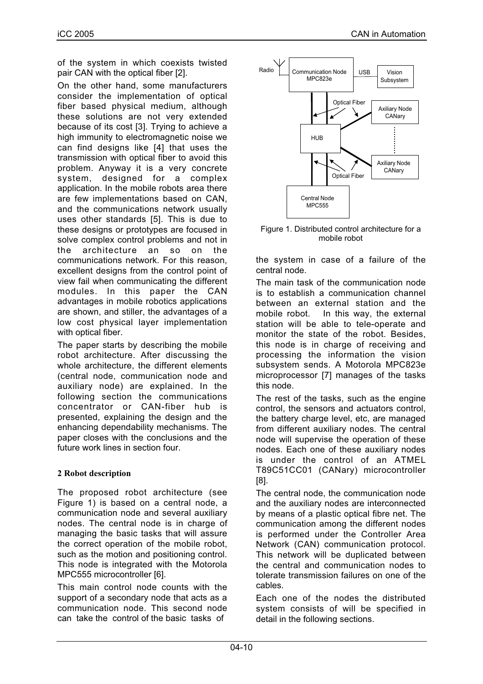of the system in which coexists twisted pair CAN with the optical fiber [2].

On the other hand, some manufacturers consider the implementation of optical fiber based physical medium, although these solutions are not very extended because of its cost [3]. Trying to achieve a high immunity to electromagnetic noise we can find designs like [4] that uses the transmission with optical fiber to avoid this problem. Anyway it is a very concrete system, designed for a complex application. In the mobile robots area there are few implementations based on CAN, and the communications network usually uses other standards [5]. This is due to these designs or prototypes are focused in solve complex control problems and not in the architecture an so on the communications network. For this reason, excellent designs from the control point of view fail when communicating the different modules. In this paper the CAN advantages in mobile robotics applications are shown, and stiller, the advantages of a low cost physical layer implementation with optical fiber.

The paper starts by describing the mobile robot architecture. After discussing the whole architecture, the different elements (central node, communication node and auxiliary node) are explained. In the following section the communications concentrator or CAN-fiber hub is presented, explaining the design and the enhancing dependability mechanisms. The paper closes with the conclusions and the future work lines in section four.

# **2 Robot description**

The proposed robot architecture (see Figure 1) is based on a central node, a communication node and several auxiliary nodes. The central node is in charge of managing the basic tasks that will assure the correct operation of the mobile robot, such as the motion and positioning control. This node is integrated with the Motorola MPC555 microcontroller [6].

This main control node counts with the support of a secondary node that acts as a communication node. This second node can take the control of the basic tasks of



Figure 1. Distributed control architecture for a mobile robot

the system in case of a failure of the central node.

The main task of the communication node is to establish a communication channel between an external station and the mobile robot. In this way, the external station will be able to tele-operate and monitor the state of the robot. Besides, this node is in charge of receiving and processing the information the vision subsystem sends. A Motorola MPC823e microprocessor [7] manages of the tasks this node.

The rest of the tasks, such as the engine control, the sensors and actuators control, the battery charge level, etc, are managed from different auxiliary nodes. The central node will supervise the operation of these nodes. Each one of these auxiliary nodes is under the control of an ATMEL T89C51CC01 (CANary) microcontroller [8].

The central node, the communication node and the auxiliary nodes are interconnected by means of a plastic optical fibre net. The communication among the different nodes is performed under the Controller Area Network (CAN) communication protocol. This network will be duplicated between the central and communication nodes to tolerate transmission failures on one of the cables.

Each one of the nodes the distributed system consists of will be specified in detail in the following sections.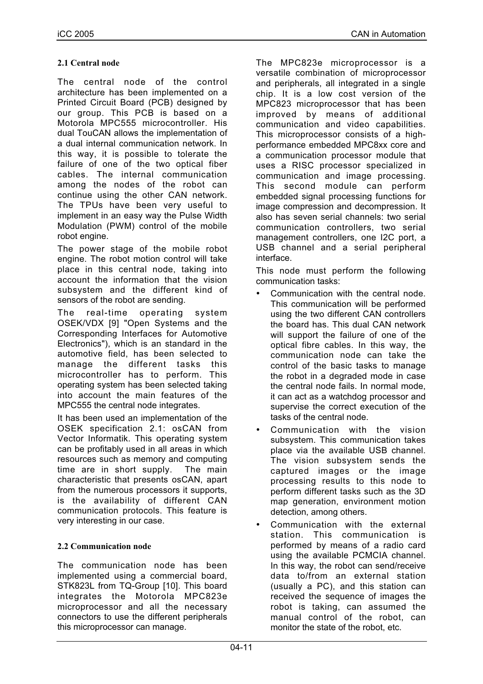# **2.1 Central node**

The central node of the control architecture has been implemented on a Printed Circuit Board (PCB) designed by our group. This PCB is based on a Motorola MPC555 microcontroller. His dual TouCAN allows the implementation of a dual internal communication network. In this way, it is possible to tolerate the failure of one of the two optical fiber cables. The internal communication among the nodes of the robot can continue using the other CAN network. The TPUs have been very useful to implement in an easy way the Pulse Width Modulation (PWM) control of the mobile robot engine.

The power stage of the mobile robot engine. The robot motion control will take place in this central node, taking into account the information that the vision subsystem and the different kind of sensors of the robot are sending.

The real-time operating system OSEK/VDX [9] "Open Systems and the Corresponding Interfaces for Automotive Electronics"), which is an standard in the automotive field, has been selected to manage the different tasks this microcontroller has to perform. This operating system has been selected taking into account the main features of the MPC555 the central node integrates.

It has been used an implementation of the OSEK specification 2.1: osCAN from Vector Informatik. This operating system can be profitably used in all areas in which resources such as memory and computing time are in short supply. The main characteristic that presents osCAN, apart from the numerous processors it supports, is the availability of different CAN communication protocols. This feature is very interesting in our case.

# **2.2 Communication node**

The communication node has been implemented using a commercial board, STK823L from TQ-Group [10]. This board integrates the Motorola MPC823e microprocessor and all the necessary connectors to use the different peripherals this microprocessor can manage.

The MPC823e microprocessor is a versatile combination of microprocessor and peripherals, all integrated in a single chip. It is a low cost version of the MPC823 microprocessor that has been improved by means of additional communication and video capabilities. This microprocessor consists of a highperformance embedded MPC8xx core and a communication processor module that uses a RISC processor specialized in communication and image processing. This second module can perform embedded signal processing functions for image compression and decompression. It also has seven serial channels: two serial communication controllers, two serial management controllers, one I2C port, a USB channel and a serial peripheral interface.

This node must perform the following communication tasks:

- Communication with the central node. This communication will be performed using the two different CAN controllers the board has. This dual CAN network will support the failure of one of the optical fibre cables. In this way, the communication node can take the control of the basic tasks to manage the robot in a degraded mode in case the central node fails. In normal mode, it can act as a watchdog processor and supervise the correct execution of the tasks of the central node.
- Communication with the vision subsystem. This communication takes place via the available USB channel. The vision subsystem sends the captured images or the image processing results to this node to perform different tasks such as the 3D map generation, environment motion detection, among others.
- Communication with the external station. This communication is performed by means of a radio card using the available PCMCIA channel. In this way, the robot can send/receive data to/from an external station (usually a PC), and this station can received the sequence of images the robot is taking, can assumed the manual control of the robot, can monitor the state of the robot, etc.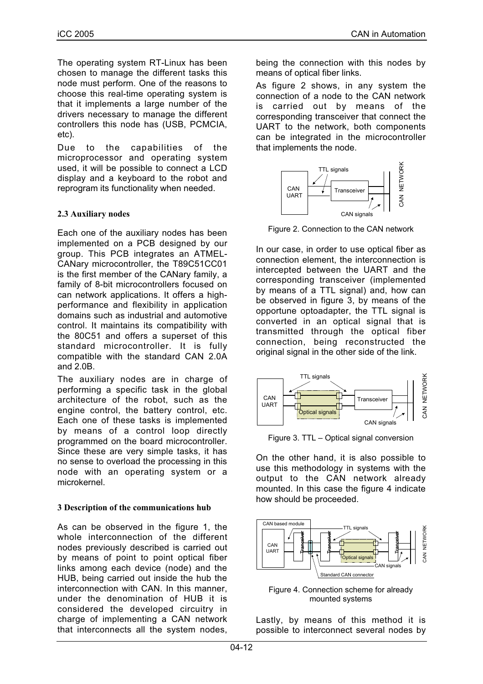The operating system RT-Linux has been chosen to manage the different tasks this node must perform. One of the reasons to choose this real-time operating system is that it implements a large number of the drivers necessary to manage the different controllers this node has (USB, PCMCIA, etc).

Due to the capabilities of the microprocessor and operating system used, it will be possible to connect a LCD display and a keyboard to the robot and reprogram its functionality when needed.

#### **2.3 Auxiliary nodes**

Each one of the auxiliary nodes has been implemented on a PCB designed by our group. This PCB integrates an ATMEL-CANary microcontroller, the T89C51CC01 is the first member of the CANary family, a family of 8-bit microcontrollers focused on can network applications. It offers a highperformance and flexibility in application domains such as industrial and automotive control. It maintains its compatibility with the 80C51 and offers a superset of this standard microcontroller. It is fully compatible with the standard CAN 2.0A and 2.0B.

The auxiliary nodes are in charge of performing a specific task in the global architecture of the robot, such as the engine control, the battery control, etc. Each one of these tasks is implemented by means of a control loop directly programmed on the board microcontroller. Since these are very simple tasks, it has no sense to overload the processing in this node with an operating system or a microkernel.

#### **3 Description of the communications hub**

As can be observed in the figure 1, the whole interconnection of the different nodes previously described is carried out by means of point to point optical fiber links among each device (node) and the HUB, being carried out inside the hub the interconnection with CAN. In this manner, under the denomination of HUB it is considered the developed circuitry in charge of implementing a CAN network that interconnects all the system nodes,

being the connection with this nodes by means of optical fiber links.

As figure 2 shows, in any system the connection of a node to the CAN network is carried out by means of the corresponding transceiver that connect the UART to the network, both components can be integrated in the microcontroller that implements the node.



Figure 2. Connection to the CAN network

In our case, in order to use optical fiber as connection element, the interconnection is intercepted between the UART and the corresponding transceiver (implemented by means of a TTL signal) and, how can be observed in figure 3, by means of the opportune optoadapter, the TTL signal is converted in an optical signal that is transmitted through the optical fiber connection, being reconstructed the original signal in the other side of the link.



Figure 3. TTL – Optical signal conversion

On the other hand, it is also possible to use this methodology in systems with the output to the CAN network already mounted. In this case the figure 4 indicate how should be proceeded.



Figure 4. Connection scheme for already mounted systems

Lastly, by means of this method it is possible to interconnect several nodes by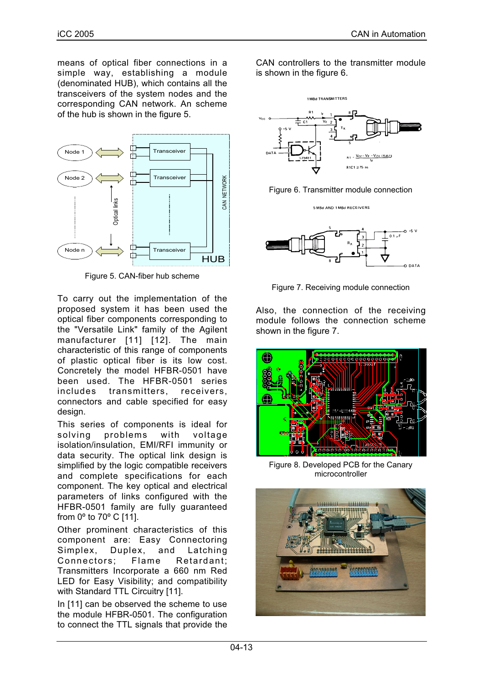means of optical fiber connections in a simple way, establishing a module (denominated HUB), which contains all the transceivers of the system nodes and the corresponding CAN network. An scheme of the hub is shown in the figure 5.



Figure 5. CAN-fiber hub scheme

To carry out the implementation of the proposed system it has been used the optical fiber components corresponding to the "Versatile Link" family of the Agilent manufacturer [11] [12]. The main characteristic of this range of components of plastic optical fiber is its low cost. Concretely the model HFBR-0501 have been used. The HFBR-0501 series includes transmitters, receivers, connectors and cable specified for easy design.

This series of components is ideal for solving problems with voltage isolation/insulation, EMI/RFI immunity or data security. The optical link design is simplified by the logic compatible receivers and complete specifications for each component. The key optical and electrical parameters of links configured with the HFBR-0501 family are fully guaranteed from 0º to 70º C [11].

Other prominent characteristics of this component are: Easy Connectoring Simplex, Duplex, and Latching Connectors; Flame Retardant; Transmitters Incorporate a 660 nm Red LED for Easy Visibility; and compatibility with Standard TTL Circuitry [11].

In [11] can be observed the scheme to use the module HFBR-0501. The configuration to connect the TTL signals that provide the

CAN controllers to the transmitter module is shown in the figure 6.





5 MBd AND 1 MBd RECEIVERS



Figure 7. Receiving module connection

Also, the connection of the receiving module follows the connection scheme shown in the figure 7.



Figure 8. Developed PCB for the Canary microcontroller

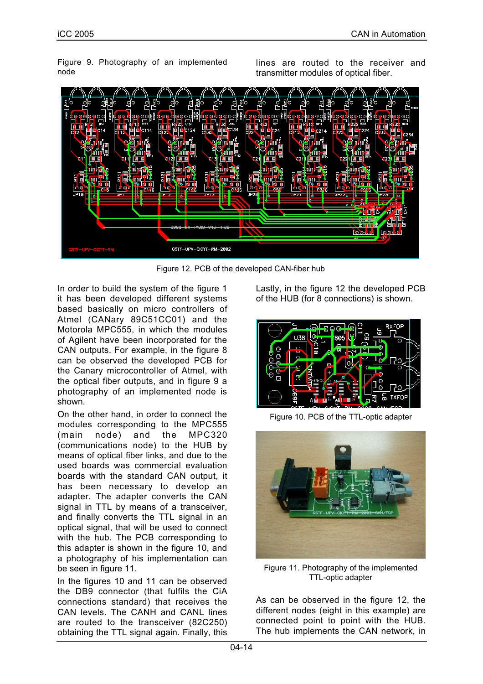Figure 9. Photography of an implemented node

lines are routed to the receiver and transmitter modules of optical fiber.



Figure 12. PCB of the developed CAN-fiber hub

In order to build the system of the figure 1 it has been developed different systems based basically on micro controllers of Atmel (CANary 89C51CC01) and the Motorola MPC555, in which the modules of Agilent have been incorporated for the CAN outputs. For example, in the figure 8 can be observed the developed PCB for the Canary microcontroller of Atmel, with the optical fiber outputs, and in figure 9 a photography of an implemented node is shown.

On the other hand, in order to connect the modules corresponding to the MPC555 (main node) and the MPC320 (communications node) to the HUB by means of optical fiber links, and due to the used boards was commercial evaluation boards with the standard CAN output, it has been necessary to develop an adapter. The adapter converts the CAN signal in TTL by means of a transceiver, and finally converts the TTL signal in an optical signal, that will be used to connect with the hub. The PCB corresponding to this adapter is shown in the figure 10, and a photography of his implementation can be seen in figure 11.

In the figures 10 and 11 can be observed the DB9 connector (that fulfils the CiA connections standard) that receives the CAN levels. The CANH and CANL lines are routed to the transceiver (82C250) obtaining the TTL signal again. Finally, this Lastly, in the figure 12 the developed PCB of the HUB (for 8 connections) is shown.



Figure 10. PCB of the TTL-optic adapter



Figure 11. Photography of the implemented TTL-optic adapter

As can be observed in the figure 12, the different nodes (eight in this example) are connected point to point with the HUB. The hub implements the CAN network, in